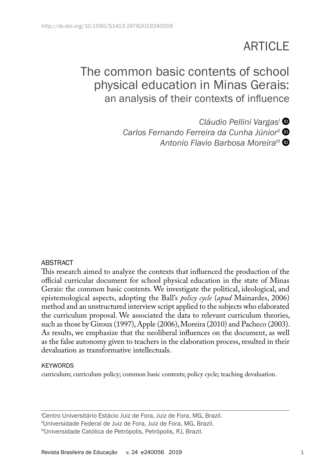# **ARTICLE**

# The common basic contents of school physical education in Minas Gerais: an analysis of their contexts of influence

*Cláudio Pellini VargasI* Carlos Fernando Ferreira da Cunha Júnior<sup>ii</sup> <sup>O</sup> **Antonio Flavio Barbosa Moreira<sup>III</sup> ©** 

#### ABSTRACT

This research aimed to analyze the contexts that influenced the production of the official curricular document for school physical education in the state of Minas Gerais: the common basic contents. We investigate the political, ideological, and epistemological aspects, adopting the Ball's *policy cycle* (*apud* Mainardes, 2006) method and an unstructured interview script applied to the subjects who elaborated the curriculum proposal. We associated the data to relevant curriculum theories, such as those by Giroux (1997), Apple (2006), Moreira (2010) and Pacheco (2003). As results, we emphasize that the neoliberal influences on the document, as well as the false autonomy given to teachers in the elaboration process, resulted in their devaluation as transformative intellectuals.

#### **KEYWORDS**

curriculum; curriculum policy; common basic contents; policy cycle; teaching devaluation.

I Centro Universitário Estácio Juiz de Fora, Juiz de Fora, MG, Brazil.

"Universidade Federal de Juiz de Fora, Juiz de Fora, MG, Brazil.

IIIUniversidade Católica de Petrópolis, Petrópolis, RJ, Brazil.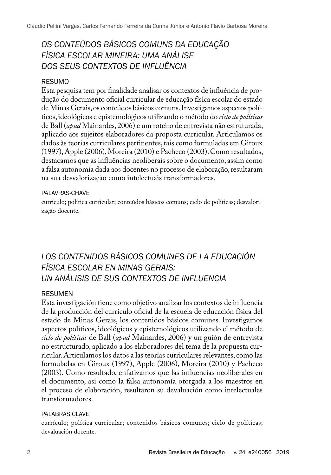# *OS CONTEÚDOS BÁSICOS COMUNS DA EDUCAÇÃO FÍSICA ESCOLAR MINEIRA: UMA ANÁLISE DOS SEUS CONTEXTOS DE INFLUÊNCIA*

#### RESUMO

Esta pesquisa tem por finalidade analisar os contextos de influência de produção do documento oficial curricular de educação física escolar do estado de Minas Gerais, os conteúdos básicos comuns. Investigamos aspectos políticos, ideológicos e epistemológicos utilizando o método do *ciclo de políticas* de Ball (*apud* Mainardes, 2006) e um roteiro de entrevista não estruturada, aplicado aos sujeitos elaboradores da proposta curricular. Articulamos os dados às teorias curriculares pertinentes, tais como formuladas em Giroux (1997), Apple (2006), Moreira (2010) e Pacheco (2003). Como resultados, destacamos que as influências neoliberais sobre o documento, assim como a falsa autonomia dada aos docentes no processo de elaboração, resultaram na sua desvalorização como intelectuais transformadores.

#### PALAVRAS-CHAVE

currículo; política curricular; conteúdos básicos comuns; ciclo de políticas; desvalorização docente.

# *LOS CONTENIDOS BÁSICOS COMUNES DE LA EDUCACIÓN FÍSICA ESCOLAR EN MINAS GERAIS: UN ANÁLISIS DE SUS CONTEXTOS DE INFLUENCIA*

#### RESUMEN

Esta investigación tiene como objetivo analizar los contextos de influencia de la producción del currículo oficial de la escuela de educación física del estado de Minas Gerais, los contenidos básicos comunes. Investigamos aspectos políticos, ideológicos y epistemológicos utilizando el método de *ciclo de políticas* de Ball (*apud* Mainardes, 2006) y un guión de entrevista no estructurado, aplicado a los elaboradores del tema de la propuesta curricular. Articulamos los datos a las teorías curriculares relevantes, como las formuladas en Giroux (1997), Apple (2006), Moreira (2010) y Pacheco (2003). Como resultado, enfatizamos que las influencias neoliberales en el documento, así como la falsa autonomía otorgada a los maestros en el proceso de elaboración, resultaron su devaluación como intelectuales transformadores.

#### PALABRAS CLAVE

currículo; política curricular; contenidos básicos comunes; ciclo de políticas; devaluación docente.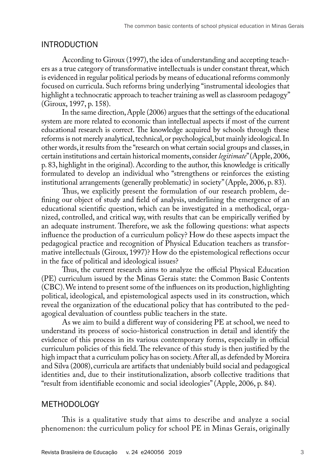### INTRODUCTION

According to Giroux (1997), the idea of understanding and accepting teachers as a true category of transformative intellectuals is under constant threat, which is evidenced in regular political periods by means of educational reforms commonly focused on curricula. Such reforms bring underlying "instrumental ideologies that highlight a technocratic approach to teacher training as well as classroom pedagogy" (Giroux, 1997, p. 158).

In the same direction, Apple (2006) argues that the settings of the educational system are more related to economic than intellectual aspects if most of the current educational research is correct. The knowledge acquired by schools through these reforms is not merely analytical, technical, or psychological, but mainly ideological. In other words, it results from the "research on what certain social groups and classes, in certain institutions and certain historical moments, consider *legitimate*" (Apple, 2006, p. 83, highlight in the original). According to the author, this knowledge is critically formulated to develop an individual who "strengthens or reinforces the existing institutional arrangements (generally problematic) in society" (Apple, 2006, p. 83).

Thus, we explicitly present the formulation of our research problem, defining our object of study and field of analysis, underlining the emergence of an educational scientific question, which can be investigated in a methodical, organized, controlled, and critical way, with results that can be empirically verified by an adequate instrument. Therefore, we ask the following questions: what aspects influence the production of a curriculum policy? How do these aspects impact the pedagogical practice and recognition of Physical Education teachers as transformative intellectuals (Giroux, 1997)? How do the epistemological reflections occur in the face of political and ideological issues?

Thus, the current research aims to analyze the official Physical Education (PE) curriculum issued by the Minas Gerais state: the Common Basic Contents (CBC). We intend to present some of the influences on its production, highlighting political, ideological, and epistemological aspects used in its construction, which reveal the organization of the educational policy that has contributed to the pedagogical devaluation of countless public teachers in the state.

As we aim to build a different way of considering PE at school, we need to understand its process of socio-historical construction in detail and identify the evidence of this process in its various contemporary forms, especially in official curriculum policies of this field. The relevance of this study is then justified by the high impact that a curriculum policy has on society. After all, as defended by Moreira and Silva (2008), curricula are artifacts that undeniably build social and pedagogical identities and, due to their institutionalization, absorb collective traditions that "result from identifiable economic and social ideologies" (Apple, 2006, p. 84).

### METHODOLOGY

This is a qualitative study that aims to describe and analyze a social phenomenon: the curriculum policy for school PE in Minas Gerais, originally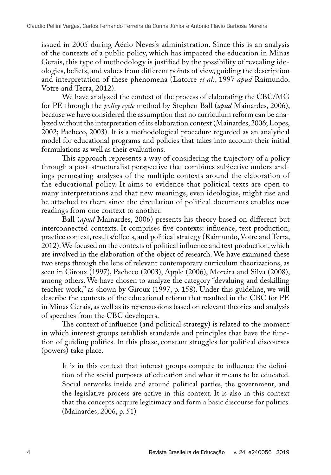issued in 2005 during Aécio Neves's administration. Since this is an analysis of the contexts of a public policy, which has impacted the education in Minas Gerais, this type of methodology is justified by the possibility of revealing ideologies, beliefs, and values from different points of view, guiding the description and interpretation of these phenomena (Latorre *et al*., 1997 *apud* Raimundo, Votre and Terra, 2012).

We have analyzed the context of the process of elaborating the CBC/MG for PE through the *policy cycle* method by Stephen Ball (*apud* Mainardes, 2006), because we have considered the assumption that no curriculum reform can be analyzed without the interpretation of its elaboration context (Mainardes, 2006; Lopes, 2002; Pacheco, 2003). It is a methodological procedure regarded as an analytical model for educational programs and policies that takes into account their initial formulations as well as their evaluations.

This approach represents a way of considering the trajectory of a policy through a post-structuralist perspective that combines subjective understandings permeating analyses of the multiple contexts around the elaboration of the educational policy. It aims to evidence that political texts are open to many interpretations and that new meanings, even ideologies, might rise and be attached to them since the circulation of political documents enables new readings from one context to another.

Ball (*apud* Mainardes, 2006) presents his theory based on different but interconnected contexts. It comprises five contexts: influence, text production, practice context, results/effects, and political strategy (Raimundo, Votre and Terra, 2012). We focused on the contexts of political influence and text production, which are involved in the elaboration of the object of research. We have examined these two steps through the lens of relevant contemporary curriculum theorizations, as seen in Giroux (1997), Pacheco (2003), Apple (2006), Moreira and Silva (2008), among others. We have chosen to analyze the category "devaluing and deskilling teacher work," as shown by Giroux (1997, p. 158). Under this guideline, we will describe the contexts of the educational reform that resulted in the CBC for PE in Minas Gerais, as well as its repercussions based on relevant theories and analysis of speeches from the CBC developers.

The context of influence (and political strategy) is related to the moment in which interest groups establish standards and principles that have the function of guiding politics. In this phase, constant struggles for political discourses (powers) take place.

It is in this context that interest groups compete to influence the definition of the social purposes of education and what it means to be educated. Social networks inside and around political parties, the government, and the legislative process are active in this context. It is also in this context that the concepts acquire legitimacy and form a basic discourse for politics. (Mainardes, 2006, p. 51)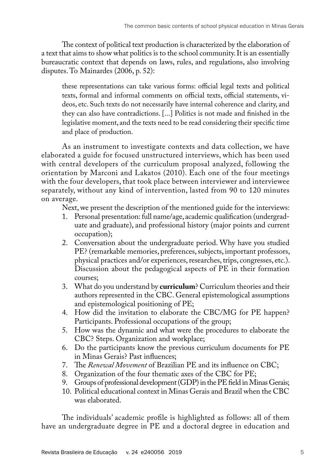The context of political text production is characterized by the elaboration of a text that aims to show what politics is to the school community. It is an essentially bureaucratic context that depends on laws, rules, and regulations, also involving disputes. To Mainardes (2006, p. 52):

these representations can take various forms: official legal texts and political texts, formal and informal comments on official texts, official statements, videos, etc. Such texts do not necessarily have internal coherence and clarity, and they can also have contradictions. [...] Politics is not made and finished in the legislative moment, and the texts need to be read considering their specific time and place of production.

As an instrument to investigate contexts and data collection, we have elaborated a guide for focused unstructured interviews, which has been used with central developers of the curriculum proposal analyzed, following the orientation by Marconi and Lakatos (2010). Each one of the four meetings with the four developers, that took place between interviewer and interviewee separately, without any kind of intervention, lasted from 90 to 120 minutes on average.

Next, we present the description of the mentioned guide for the interviews:

- 1. Personal presentation: full name/age, academic qualification (undergraduate and graduate), and professional history (major points and current occupation);
- 2. Conversation about the undergraduate period. Why have you studied PE? (remarkable memories, preferences, subjects, important professors, physical practices and/or experiences, researches, trips, congresses, etc.). Discussion about the pedagogical aspects of PE in their formation courses;
- 3. What do you understand by **curriculum**? Curriculum theories and their authors represented in the CBC. General epistemological assumptions and epistemological positioning of PE;
- 4. How did the invitation to elaborate the CBC/MG for PE happen? Participants. Professional occupations of the group;
- 5. How was the dynamic and what were the procedures to elaborate the CBC? Steps. Organization and workplace;
- 6. Do the participants know the previous curriculum documents for PE in Minas Gerais? Past influences;
- 7. The *Renewal Movement* of Brazilian PE and its influence on CBC;
- 8. Organization of the four thematic axes of the CBC for PE;
- 9. Groups of professional development (GDP) in the PE field in Minas Gerais;
- 10. Political educational context in Minas Gerais and Brazil when the CBC was elaborated.

The individuals' academic profile is highlighted as follows: all of them have an undergraduate degree in PE and a doctoral degree in education and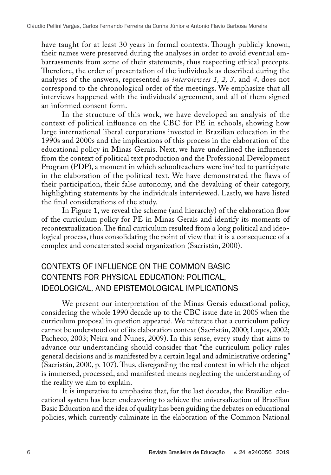have taught for at least 30 years in formal contexts. Though publicly known, their names were preserved during the analyses in order to avoid eventual embarrassments from some of their statements, thus respecting ethical precepts. Therefore, the order of presentation of the individuals as described during the analyses of the answers, represented as *interviewees 1, 2, 3*, and *4*, does not correspond to the chronological order of the meetings. We emphasize that all interviews happened with the individuals' agreement, and all of them signed an informed consent form.

In the structure of this work, we have developed an analysis of the context of political influence on the CBC for PE in schools, showing how large international liberal corporations invested in Brazilian education in the 1990s and 2000s and the implications of this process in the elaboration of the educational policy in Minas Gerais. Next, we have underlined the influences from the context of political text production and the Professional Development Program (PDP), a moment in which schoolteachers were invited to participate in the elaboration of the political text. We have demonstrated the flaws of their participation, their false autonomy, and the devaluing of their category, highlighting statements by the individuals interviewed. Lastly, we have listed the final considerations of the study.

In Figure 1, we reveal the scheme (and hierarchy) of the elaboration flow of the curriculum policy for PE in Minas Gerais and identify its moments of recontextualization. The final curriculum resulted from a long political and ideological process, thus consolidating the point of view that it is a consequence of a complex and concatenated social organization (Sacristán, 2000).

# CONTEXTS OF INFLUENCE ON THE COMMON BASIC CONTENTS FOR PHYSICAL EDUCATION: POLITICAL, IDEOLOGICAL, AND EPISTEMOLOGICAL IMPLICATIONS

We present our interpretation of the Minas Gerais educational policy, considering the whole 1990 decade up to the CBC issue date in 2005 when the curriculum proposal in question appeared. We reiterate that a curriculum policy cannot be understood out of its elaboration context (Sacristán, 2000; Lopes, 2002; Pacheco, 2003; Neira and Nunes, 2009). In this sense, every study that aims to advance our understanding should consider that "the curriculum policy rules general decisions and is manifested by a certain legal and administrative ordering" (Sacristán, 2000, p. 107). Thus, disregarding the real context in which the object is immersed, processed, and manifested means neglecting the understanding of the reality we aim to explain.

It is imperative to emphasize that, for the last decades, the Brazilian educational system has been endeavoring to achieve the universalization of Brazilian Basic Education and the idea of quality has been guiding the debates on educational policies, which currently culminate in the elaboration of the Common National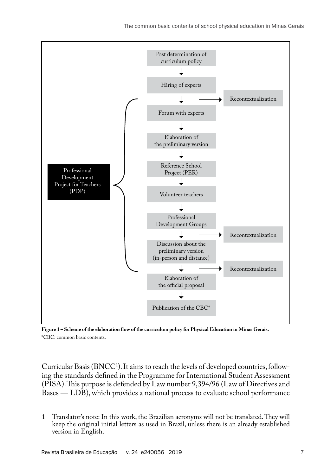

**Figure 1 – Scheme of the elaboration flow of the curriculum policy for Physical Education in Minas Gerais.** \*CBC: common basic contents.

Curricular Basis (BNCC1 ). It aims to reach the levels of developed countries, following the standards defined in the Programme for International Student Assessment (PISA). This purpose is defended by Law number 9,394/96 (Law of Directives and Bases — LDB), which provides a national process to evaluate school performance

<sup>1</sup> Translator's note: In this work, the Brazilian acronyms will not be translated. They will keep the original initial letters as used in Brazil, unless there is an already established version in English.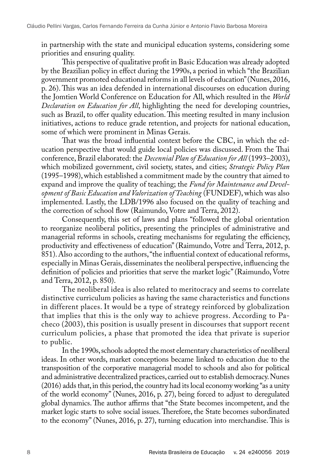in partnership with the state and municipal education systems, considering some priorities and ensuring quality.

This perspective of qualitative profit in Basic Education was already adopted by the Brazilian policy in effect during the 1990s, a period in which "the Brazilian government promoted educational reforms in all levels of education" (Nunes, 2016, p. 26). This was an idea defended in international discourses on education during the Jomtien World Conference on Education for All, which resulted in the *World Declaration on Education for All*, highlighting the need for developing countries, such as Brazil, to offer quality education. This meeting resulted in many inclusion initiatives, actions to reduce grade retention, and projects for national education, some of which were prominent in Minas Gerais.

That was the broad influential context before the CBC, in which the education perspective that would guide local policies was discussed. From the Thai conference, Brazil elaborated: the *Decennial Plan of Education for All* (1993–2003), which mobilized government, civil society, states, and cities; *Strategic Policy Plan* (1995–1998), which established a commitment made by the country that aimed to expand and improve the quality of teaching; the *Fund for Maintenance and Development of Basic Education and Valorization of Teaching* (FUNDEF), which was also implemented. Lastly, the LDB/1996 also focused on the quality of teaching and the correction of school flow (Raimundo, Votre and Terra, 2012).

Consequently, this set of laws and plans "followed the global orientation to reorganize neoliberal politics, presenting the principles of administrative and managerial reforms in schools, creating mechanisms for regulating the efficiency, productivity and effectiveness of education" (Raimundo, Votre and Terra, 2012, p. 851). Also according to the authors, "the influential context of educational reforms, especially in Minas Gerais, disseminates the neoliberal perspective, influencing the definition of policies and priorities that serve the market logic" (Raimundo, Votre and Terra, 2012, p. 850).

The neoliberal idea is also related to meritocracy and seems to correlate distinctive curriculum policies as having the same characteristics and functions in different places. It would be a type of strategy reinforced by globalization that implies that this is the only way to achieve progress. According to Pacheco (2003), this position is usually present in discourses that support recent curriculum policies, a phase that promoted the idea that private is superior to public.

In the 1990s, schools adopted the most elementary characteristics of neoliberal ideas. In other words, market conceptions became linked to education due to the transposition of the corporative managerial model to schools and also for political and administrative decentralized practices, carried out to establish democracy. Nunes (2016) adds that, in this period, the country had its local economy working "as a unity of the world economy" (Nunes, 2016, p. 27), being forced to adjust to deregulated global dynamics. The author affirms that "the State becomes incompetent, and the market logic starts to solve social issues. Therefore, the State becomes subordinated to the economy" (Nunes, 2016, p. 27), turning education into merchandise. This is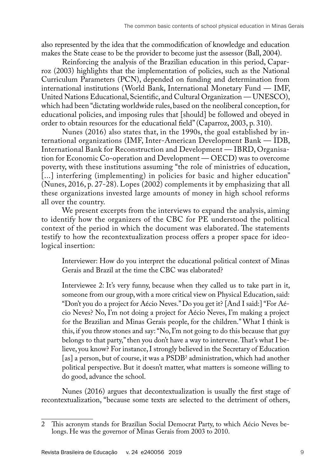also represented by the idea that the commodification of knowledge and education makes the State cease to be the provider to become just the assessor (Ball, 2004).

Reinforcing the analysis of the Brazilian education in this period, Caparroz (2003) highlights that the implementation of policies, such as the National Curriculum Parameters (PCN), depended on funding and determination from international institutions (World Bank, International Monetary Fund — IMF, United Nations Educational, Scientific, and Cultural Organization — UNESCO), which had been "dictating worldwide rules, based on the neoliberal conception, for educational policies, and imposing rules that [should] be followed and obeyed in order to obtain resources for the educational field" (Caparroz, 2003, p. 310).

Nunes (2016) also states that, in the 1990s, the goal established by international organizations (IMF, Inter-American Development Bank — IDB, International Bank for Reconstruction and Development — IBRD, Organisation for Economic Co-operation and Development — OECD) was to overcome poverty, with these institutions assuming "the role of ministries of education, [...] interfering (implementing) in policies for basic and higher education" (Nunes, 2016, p. 27-28). Lopes (2002) complements it by emphasizing that all these organizations invested large amounts of money in high school reforms all over the country.

We present excerpts from the interviews to expand the analysis, aiming to identify how the organizers of the CBC for PE understood the political context of the period in which the document was elaborated. The statements testify to how the recontextualization process offers a proper space for ideological insertion:

Interviewer: How do you interpret the educational political context of Minas Gerais and Brazil at the time the CBC was elaborated?

Interviewee 2: It's very funny, because when they called us to take part in it, someone from our group, with a more critical view on Physical Education, said: "Don't you do a project for Aécio Neves." Do you get it? [And I said:] "For Aécio Neves? No, I'm not doing a project for Aécio Neves, I'm making a project for the Brazilian and Minas Gerais people, for the children." What I think is this, if you throw stones and say: "No, I'm not going to do this because that guy belongs to that party," then you don't have a way to intervene. That's what I believe, you know? For instance, I strongly believed in the Secretary of Education [as] a person, but of course, it was a PSDB2 administration, which had another political perspective. But it doesn't matter, what matters is someone willing to do good, advance the school.

Nunes (2016) argues that decontextualization is usually the first stage of recontextualization, "because some texts are selected to the detriment of others,

<sup>2</sup> This acronym stands for Brazilian Social Democrat Party, to which Aécio Neves belongs. He was the governor of Minas Gerais from 2003 to 2010.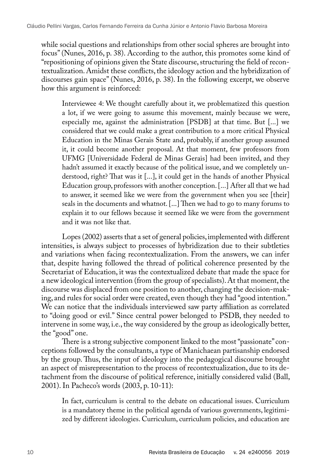while social questions and relationships from other social spheres are brought into focus" (Nunes, 2016, p. 38). According to the author, this promotes some kind of "repositioning of opinions given the State discourse, structuring the field of recontextualization. Amidst these conflicts, the ideology action and the hybridization of discourses gain space" (Nunes, 2016, p. 38). In the following excerpt, we observe how this argument is reinforced:

Interviewee 4: We thought carefully about it, we problematized this question a lot, if we were going to assume this movement, mainly because we were, especially me, against the administration [PSDB] at that time. But [...] we considered that we could make a great contribution to a more critical Physical Education in the Minas Gerais State and, probably, if another group assumed it, it could become another proposal. At that moment, few professors from UFMG [Universidade Federal de Minas Gerais] had been invited, and they hadn't assumed it exactly because of the political issue, and we completely understood, right? That was it [...], it could get in the hands of another Physical Education group, professors with another conception. [...] After all that we had to answer, it seemed like we were from the government when you see [their] seals in the documents and whatnot. [...] Then we had to go to many forums to explain it to our fellows because it seemed like we were from the government and it was not like that.

Lopes (2002) asserts that a set of general policies, implemented with different intensities, is always subject to processes of hybridization due to their subtleties and variations when facing recontextualization. From the answers, we can infer that, despite having followed the thread of political coherence presented by the Secretariat of Education, it was the contextualized debate that made the space for a new ideological intervention (from the group of specialists). At that moment, the discourse was displaced from one position to another, changing the decision-making, and rules for social order were created, even though they had "good intention." We can notice that the individuals interviewed saw party affiliation as correlated to "doing good or evil." Since central power belonged to PSDB, they needed to intervene in some way, i.e., the way considered by the group as ideologically better, the "good" one.

There is a strong subjective component linked to the most "passionate" conceptions followed by the consultants, a type of Manichaean partisanship endorsed by the group. Thus, the input of ideology into the pedagogical discourse brought an aspect of misrepresentation to the process of recontextualization, due to its detachment from the discourse of political reference, initially considered valid (Ball, 2001). In Pacheco's words (2003, p. 10-11):

In fact, curriculum is central to the debate on educational issues. Curriculum is a mandatory theme in the political agenda of various governments, legitimized by different ideologies. Curriculum, curriculum policies, and education are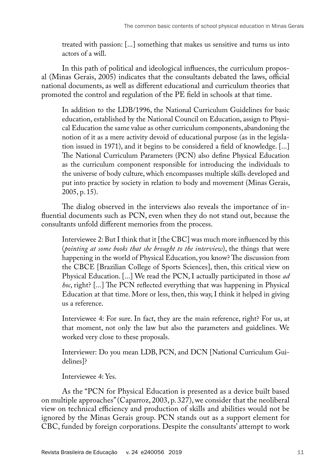treated with passion: [...] something that makes us sensitive and turns us into actors of a will.

In this path of political and ideological influences, the curriculum proposal (Minas Gerais, 2005) indicates that the consultants debated the laws, official national documents, as well as different educational and curriculum theories that promoted the control and regulation of the PE field in schools at that time.

In addition to the LDB/1996, the National Curriculum Guidelines for basic education, established by the National Council on Education, assign to Physical Education the same value as other curriculum components, abandoning the notion of it as a mere activity devoid of educational purpose (as in the legislation issued in 1971), and it begins to be considered a field of knowledge. [...] The National Curriculum Parameters (PCN) also define Physical Education as the curriculum component responsible for introducing the individuals to the universe of body culture, which encompasses multiple skills developed and put into practice by society in relation to body and movement (Minas Gerais, 2005, p. 15).

The dialog observed in the interviews also reveals the importance of influential documents such as PCN, even when they do not stand out, because the consultants unfold different memories from the process.

Interviewee 2: But I think that it [the CBC] was much more influenced by this (*pointing at some books that she brought to the interview*), the things that were happening in the world of Physical Education, you know? The discussion from the CBCE [Brazilian College of Sports Sciences], then, this critical view on Physical Education. [...] We read the PCN, I actually participated in those *ad hoc*, right? [...] The PCN reflected everything that was happening in Physical Education at that time. More or less, then, this way, I think it helped in giving us a reference.

Interviewee 4: For sure. In fact, they are the main reference, right? For us, at that moment, not only the law but also the parameters and guidelines. We worked very close to these proposals.

Interviewer: Do you mean LDB, PCN, and DCN [National Curriculum Guidelines]?

Interviewee 4: Yes.

As the "PCN for Physical Education is presented as a device built based on multiple approaches" (Caparroz, 2003, p. 327), we consider that the neoliberal view on technical efficiency and production of skills and abilities would not be ignored by the Minas Gerais group. PCN stands out as a support element for CBC, funded by foreign corporations. Despite the consultants' attempt to work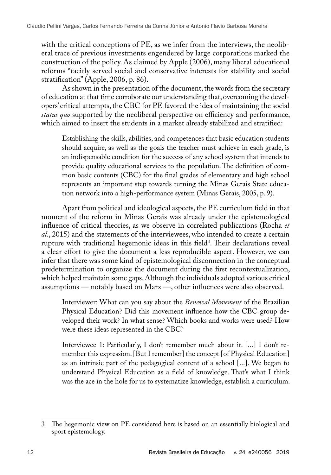with the critical conceptions of PE, as we infer from the interviews, the neoliberal trace of previous investments engendered by large corporations marked the construction of the policy. As claimed by Apple (2006), many liberal educational reforms "tacitly served social and conservative interests for stability and social stratification" (Apple, 2006, p. 86).

As shown in the presentation of the document, the words from the secretary of education at that time corroborate our understanding that, overcoming the developers' critical attempts, the CBC for PE favored the idea of maintaining the social *status quo* supported by the neoliberal perspective on efficiency and performance, which aimed to insert the students in a market already stabilized and stratified:

Establishing the skills, abilities, and competences that basic education students should acquire, as well as the goals the teacher must achieve in each grade, is an indispensable condition for the success of any school system that intends to provide quality educational services to the population. The definition of common basic contents (CBC) for the final grades of elementary and high school represents an important step towards turning the Minas Gerais State education network into a high-performance system (Minas Gerais, 2005, p. 9).

Apart from political and ideological aspects, the PE curriculum field in that moment of the reform in Minas Gerais was already under the epistemological influence of critical theories, as we observe in correlated publications (Rocha *et al*., 2015) and the statements of the interviewees, who intended to create a certain rupture with traditional hegemonic ideas in this field<sup>3</sup>. Their declarations reveal a clear effort to give the document a less reproducible aspect. However, we can infer that there was some kind of epistemological disconnection in the conceptual predetermination to organize the document during the first recontextualization, which helped maintain some gaps. Although the individuals adopted various critical assumptions — notably based on Marx —, other influences were also observed.

Interviewer: What can you say about the *Renewal Movement* of the Brazilian Physical Education? Did this movement influence how the CBC group developed their work? In what sense? Which books and works were used? How were these ideas represented in the CBC?

Interviewee 1: Particularly, I don't remember much about it. [...] I don't remember this expression. [But I remember] the concept [of Physical Education] as an intrinsic part of the pedagogical content of a school [...]. We began to understand Physical Education as a field of knowledge. That's what I think was the ace in the hole for us to systematize knowledge, establish a curriculum.

<sup>3</sup> The hegemonic view on PE considered here is based on an essentially biological and sport epistemology.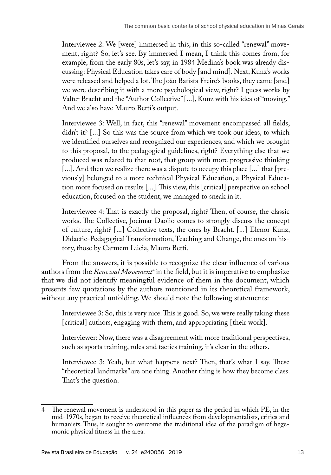Interviewee 2: We [were] immersed in this, in this so-called "renewal" movement, right? So, let's see. By immersed I mean, I think this comes from, for example, from the early 80s, let's say, in 1984 Medina's book was already discussing: Physical Education takes care of body [and mind]. Next, Kunz's works were released and helped a lot. The João Batista Freire's books, they came [and] we were describing it with a more psychological view, right? I guess works by Valter Bracht and the "Author Collective" [...], Kunz with his idea of "moving." And we also have Mauro Betti's output.

Interviewee 3: Well, in fact, this "renewal" movement encompassed all fields, didn't it? [...] So this was the source from which we took our ideas, to which we identified ourselves and recognized our experiences, and which we brought to this proposal, to the pedagogical guidelines, right? Everything else that we produced was related to that root, that group with more progressive thinking [...]. And then we realize there was a dispute to occupy this place [...] that [previously] belonged to a more technical Physical Education, a Physical Education more focused on results [...]. This view, this [critical] perspective on school education, focused on the student, we managed to sneak in it.

Interviewee 4: That is exactly the proposal, right? Then, of course, the classic works. The Collective, Jocimar Daolio comes to strongly discuss the concept of culture, right? [...] Collective texts, the ones by Bracht. [...] Elenor Kunz, Didactic-Pedagogical Transformation, Teaching and Change, the ones on history, those by Carmem Lúcia, Mauro Betti.

From the answers, it is possible to recognize the clear influence of various authors from the *Renewal Movement*<sup>4</sup> in the field, but it is imperative to emphasize that we did not identify meaningful evidence of them in the document, which presents few quotations by the authors mentioned in its theoretical framework, without any practical unfolding. We should note the following statements:

Interviewee 3: So, this is very nice. This is good. So, we were really taking these [critical] authors, engaging with them, and appropriating [their work].

Interviewer: Now, there was a disagreement with more traditional perspectives, such as sports training, rules and tactics training, it's clear in the others.

Interviewee 3: Yeah, but what happens next? Then, that's what I say. These "theoretical landmarks" are one thing. Another thing is how they become class. That's the question.

<sup>4</sup> The renewal movement is understood in this paper as the period in which PE, in the mid-1970s, began to receive theoretical influences from developmentalists, critics and humanists. Thus, it sought to overcome the traditional idea of the paradigm of hegemonic physical fitness in the area.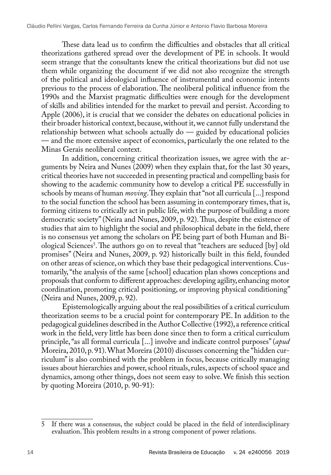These data lead us to confirm the difficulties and obstacles that all critical theorizations gathered spread over the development of PE in schools. It would seem strange that the consultants knew the critical theorizations but did not use them while organizing the document if we did not also recognize the strength of the political and ideological influence of instrumental and economic intents previous to the process of elaboration. The neoliberal political influence from the 1990s and the Marxist pragmatic difficulties were enough for the development of skills and abilities intended for the market to prevail and persist. According to Apple (2006), it is crucial that we consider the debates on educational policies in their broader historical context, because, without it, we cannot fully understand the relationship between what schools actually  $d\sigma$  — guided by educational policies — and the more extensive aspect of economics, particularly the one related to the Minas Gerais neoliberal context.

In addition, concerning critical theorization issues, we agree with the arguments by Neira and Nunes (2009) when they explain that, for the last 30 years, critical theories have not succeeded in presenting practical and compelling basis for showing to the academic community how to develop a critical PE successfully in schools by means of human *moving*. They explain that "not all curricula [...] respond to the social function the school has been assuming in contemporary times, that is, forming citizens to critically act in public life, with the purpose of building a more democratic society" (Neira and Nunes, 2009, p. 92). Thus, despite the existence of studies that aim to highlight the social and philosophical debate in the field, there is no consensus yet among the scholars on PE being part of both Human and Biological Sciences5 . The authors go on to reveal that "teachers are seduced [by] old promises" (Neira and Nunes, 2009, p. 92) historically built in this field, founded on other areas of science, on which they base their pedagogical interventions. Customarily, "the analysis of the same [school] education plan shows conceptions and proposals that conform to different approaches: developing agility, enhancing motor coordination, promoting critical positioning, or improving physical conditioning" (Neira and Nunes, 2009, p. 92).

Epistemologically arguing about the real possibilities of a critical curriculum theorization seems to be a crucial point for contemporary PE. In addition to the pedagogical guidelines described in the Author Collective (1992), a reference critical work in the field, very little has been done since then to form a critical curriculum principle, "as all formal curricula [...] involve and indicate control purposes" (*apud* Moreira, 2010, p. 91). What Moreira (2010) discusses concerning the "hidden curriculum" is also combined with the problem in focus, because critically managing issues about hierarchies and power, school rituals, rules, aspects of school space and dynamics, among other things, does not seem easy to solve. We finish this section by quoting Moreira (2010, p. 90-91):

<sup>5</sup> If there was a consensus, the subject could be placed in the field of interdisciplinary evaluation. This problem results in a strong component of power relations.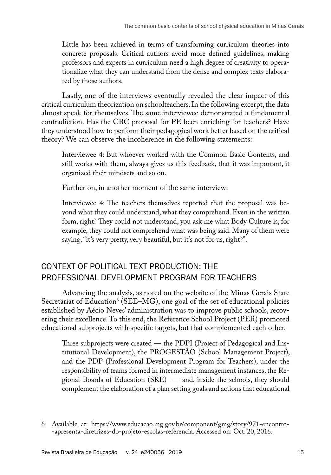Little has been achieved in terms of transforming curriculum theories into concrete proposals. Critical authors avoid more defined guidelines, making professors and experts in curriculum need a high degree of creativity to operationalize what they can understand from the dense and complex texts elaborated by those authors.

Lastly, one of the interviews eventually revealed the clear impact of this critical curriculum theorization on schoolteachers. In the following excerpt, the data almost speak for themselves. The same interviewee demonstrated a fundamental contradiction. Has the CBC proposal for PE been enriching for teachers? Have they understood how to perform their pedagogical work better based on the critical theory? We can observe the incoherence in the following statements:

Interviewee 4: But whoever worked with the Common Basic Contents, and still works with them, always gives us this feedback, that it was important, it organized their mindsets and so on.

Further on, in another moment of the same interview:

Interviewee 4: The teachers themselves reported that the proposal was beyond what they could understand, what they comprehend. Even in the written form, right? They could not understand, you ask me what Body Culture is, for example, they could not comprehend what was being said. Many of them were saying, "it's very pretty, very beautiful, but it's not for us, right?".

## CONTEXT OF POLITICAL TEXT PRODUCTION: THE PROFESSIONAL DEVELOPMENT PROGRAM FOR TEACHERS

Advancing the analysis, as noted on the website of the Minas Gerais State Secretariat of Education<sup>6</sup> (SEE–MG), one goal of the set of educational policies established by Aécio Neves' administration was to improve public schools, recovering their excellence. To this end, the Reference School Project (PER) promoted educational subprojects with specific targets, but that complemented each other.

Three subprojects were created — the PDPI (Project of Pedagogical and Institutional Development), the PROGESTAO (School Management Project), and the PDP (Professional Development Program for Teachers), under the responsibility of teams formed in intermediate management instances, the Regional Boards of Education (SRE) — and, inside the schools, they should complement the elaboration of a plan setting goals and actions that educational

<sup>6</sup> Available at: [https://www.educacao.mg.gov.br/component/gmg/story/971-encontro-](https://www.educacao.mg.gov.br/component/gmg/story/971-encontro-apresenta-diretrizes-do-projeto-escolas-referencia) [-apresenta-diretrizes-do-projeto-escolas-referencia](https://www.educacao.mg.gov.br/component/gmg/story/971-encontro-apresenta-diretrizes-do-projeto-escolas-referencia). Accessed on: Oct. 20, 2016.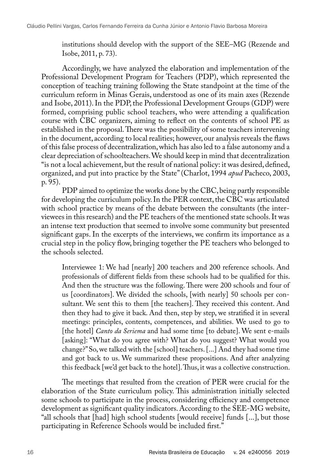institutions should develop with the support of the SEE–MG (Rezende and Isobe, 2011, p. 73).

Accordingly, we have analyzed the elaboration and implementation of the Professional Development Program for Teachers (PDP), which represented the conception of teaching training following the State standpoint at the time of the curriculum reform in Minas Gerais, understood as one of its main axes (Rezende and Isobe, 2011). In the PDP, the Professional Development Groups (GDP) were formed, comprising public school teachers, who were attending a qualification course with CBC organizers, aiming to reflect on the contents of school PE as established in the proposal. There was the possibility of some teachers intervening in the document, according to local realities; however, our analysis reveals the flaws of this false process of decentralization, which has also led to a false autonomy and a clear depreciation of schoolteachers. We should keep in mind that decentralization "is not a local achievement, but the result of national policy: it was desired, defined, organized, and put into practice by the State" (Charlot, 1994 *apud* Pacheco, 2003, p. 95).

PDP aimed to optimize the works done by the CBC, being partly responsible for developing the curriculum policy. In the PER context, the CBC was articulated with school practice by means of the debate between the consultants (the interviewees in this research) and the PE teachers of the mentioned state schools. It was an intense text production that seemed to involve some community but presented significant gaps. In the excerpts of the interviews, we confirm its importance as a crucial step in the policy flow, bringing together the PE teachers who belonged to the schools selected.

Interviewee 1: We had [nearly] 200 teachers and 200 reference schools. And professionals of different fields from these schools had to be qualified for this. And then the structure was the following. There were 200 schools and four of us [coordinators]. We divided the schools, [with nearly] 50 schools per consultant. We sent this to them [the teachers]. They received this content. And then they had to give it back. And then, step by step, we stratified it in several meetings: principles, contents, competences, and abilities. We used to go to [the hotel] *Canto da Seriema* and had some time [to debate]. We sent e-mails [asking]: "What do you agree with? What do you suggest? What would you change?" So, we talked with the [school] teachers. [...] And they had some time and got back to us. We summarized these propositions. And after analyzing this feedback [we'd get back to the hotel]. Thus, it was a collective construction.

The meetings that resulted from the creation of PER were crucial for the elaboration of the State curriculum policy. This administration initially selected some schools to participate in the process, considering efficiency and competence development as significant quality indicators. According to the SEE-MG website, "all schools that [had] high school students [would receive] funds [...], but those participating in Reference Schools would be included first."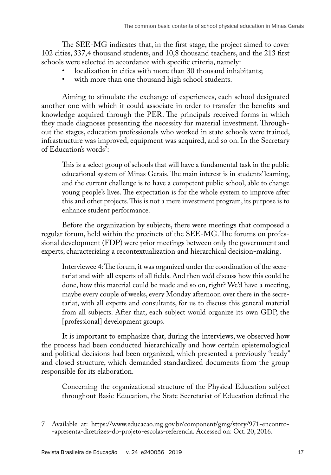The SEE-MG indicates that, in the first stage, the project aimed to cover 102 cities, 337,4 thousand students, and 10,8 thousand teachers, and the 213 first schools were selected in accordance with specific criteria, namely:

- localization in cities with more than 30 thousand inhabitants;<br>• with more than one thousand high school students
- with more than one thousand high school students.

Aiming to stimulate the exchange of experiences, each school designated another one with which it could associate in order to transfer the benefits and knowledge acquired through the PER. The principals received forms in which they made diagnoses presenting the necessity for material investment. Throughout the stages, education professionals who worked in state schools were trained, infrastructure was improved, equipment was acquired, and so on. In the Secretary of Education's words<sup>7</sup>:

This is a select group of schools that will have a fundamental task in the public educational system of Minas Gerais. The main interest is in students' learning, and the current challenge is to have a competent public school, able to change young people's lives. The expectation is for the whole system to improve after this and other projects. This is not a mere investment program, its purpose is to enhance student performance.

Before the organization by subjects, there were meetings that composed a regular forum, held within the precincts of the SEE-MG. The forums on professional development (FDP) were prior meetings between only the government and experts, characterizing a recontextualization and hierarchical decision-making.

Interviewee 4: The forum, it was organized under the coordination of the secretariat and with all experts of all fields. And then we'd discuss how this could be done, how this material could be made and so on, right? We'd have a meeting, maybe every couple of weeks, every Monday afternoon over there in the secretariat, with all experts and consultants, for us to discuss this general material from all subjects. After that, each subject would organize its own GDP, the [professional] development groups.

It is important to emphasize that, during the interviews, we observed how the process had been conducted hierarchically and how certain epistemological and political decisions had been organized, which presented a previously "ready" and closed structure, which demanded standardized documents from the group responsible for its elaboration.

Concerning the organizational structure of the Physical Education subject throughout Basic Education, the State Secretariat of Education defined the

<sup>7</sup> Available at: [https://www.educacao.mg.gov.br/component/gmg/story/971-encontro-](https://www.educacao.mg.gov.br/component/gmg/story/971-encontro-apresenta-diretrizes-do-projeto-escolas-referencia) [-apresenta-diretrizes-do-projeto-escolas-referencia](https://www.educacao.mg.gov.br/component/gmg/story/971-encontro-apresenta-diretrizes-do-projeto-escolas-referencia). Accessed on: Oct. 20, 2016.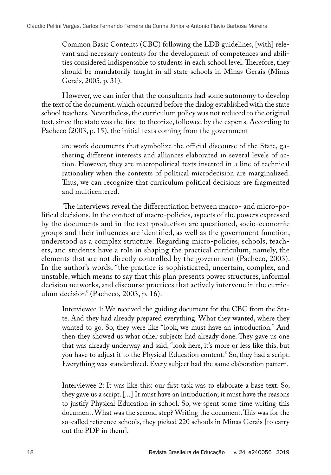Common Basic Contents (CBC) following the LDB guidelines, [with] relevant and necessary contents for the development of competences and abilities considered indispensable to students in each school level. Therefore, they should be mandatorily taught in all state schools in Minas Gerais (Minas Gerais, 2005, p. 31).

However, we can infer that the consultants had some autonomy to develop the text of the document, which occurred before the dialog established with the state school teachers. Nevertheless, the curriculum policy was not reduced to the original text, since the state was the first to theorize, followed by the experts. According to Pacheco (2003, p. 15), the initial texts coming from the government

are work documents that symbolize the official discourse of the State, gathering different interests and alliances elaborated in several levels of action. However, they are macropolitical texts inserted in a line of technical rationality when the contexts of political microdecision are marginalized. Thus, we can recognize that curriculum political decisions are fragmented and multicentered.

 The interviews reveal the differentiation between macro- and micro-political decisions. In the context of macro-policies, aspects of the powers expressed by the documents and in the text production are questioned, socio-economic groups and their influences are identified, as well as the government function, understood as a complex structure. Regarding micro-policies, schools, teachers, and students have a role in shaping the practical curriculum, namely, the elements that are not directly controlled by the government (Pacheco, 2003). In the author's words, "the practice is sophisticated, uncertain, complex, and unstable, which means to say that this plan presents power structures, informal decision networks, and discourse practices that actively intervene in the curriculum decision" (Pacheco, 2003, p. 16).

Interviewee 1: We received the guiding document for the CBC from the State. And they had already prepared everything. What they wanted, where they wanted to go. So, they were like "look, we must have an introduction." And then they showed us what other subjects had already done. They gave us one that was already underway and said, "look here, it's more or less like this, but you have to adjust it to the Physical Education content." So, they had a script. Everything was standardized. Every subject had the same elaboration pattern.

Interviewee 2: It was like this: our first task was to elaborate a base text. So, they gave us a script. [...] It must have an introduction; it must have the reasons to justify Physical Education in school. So, we spent some time writing this document. What was the second step? Writing the document. This was for the so-called reference schools, they picked 220 schools in Minas Gerais [to carry out the PDP in them].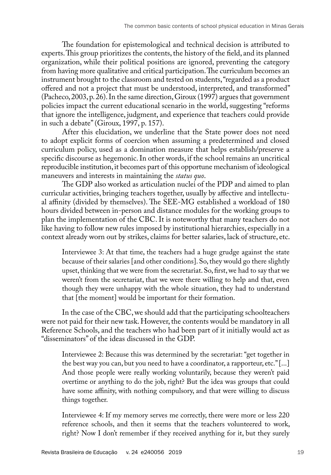The foundation for epistemological and technical decision is attributed to experts. This group prioritizes the contents, the history of the field, and its planned organization, while their political positions are ignored, preventing the category from having more qualitative and critical participation. The curriculum becomes an instrument brought to the classroom and tested on students, "regarded as a product offered and not a project that must be understood, interpreted, and transformed" (Pacheco, 2003, p. 26). In the same direction, Giroux (1997) argues that government policies impact the current educational scenario in the world, suggesting "reforms that ignore the intelligence, judgment, and experience that teachers could provide in such a debate" (Giroux, 1997, p. 157).

After this elucidation, we underline that the State power does not need to adopt explicit forms of coercion when assuming a predetermined and closed curriculum policy, used as a domination measure that helps establish/preserve a specific discourse as hegemonic. In other words, if the school remains an uncritical reproducible institution, it becomes part of this opportune mechanism of ideological maneuvers and interests in maintaining the *status quo*.

The GDP also worked as articulation nuclei of the PDP and aimed to plan curricular activities, bringing teachers together, usually by affective and intellectual affinity (divided by themselves). The SEE-MG established a workload of 180 hours divided between in-person and distance modules for the working groups to plan the implementation of the CBC. It is noteworthy that many teachers do not like having to follow new rules imposed by institutional hierarchies, especially in a context already worn out by strikes, claims for better salaries, lack of structure, etc.

Interviewee 3: At that time, the teachers had a huge grudge against the state because of their salaries [and other conditions]. So, they would go there slightly upset, thinking that we were from the secretariat. So, first, we had to say that we weren't from the secretariat, that we were there willing to help and that, even though they were unhappy with the whole situation, they had to understand that [the moment] would be important for their formation.

In the case of the CBC, we should add that the participating schoolteachers were not paid for their new task. However, the contents would be mandatory in all Reference Schools, and the teachers who had been part of it initially would act as "disseminators" of the ideas discussed in the GDP.

Interviewee 2: Because this was determined by the secretariat: "get together in the best way you can, but you need to have a coordinator, a rapporteur, etc." [...] And those people were really working voluntarily, because they weren't paid overtime or anything to do the job, right? But the idea was groups that could have some affinity, with nothing compulsory, and that were willing to discuss things together.

Interviewee 4: If my memory serves me correctly, there were more or less 220 reference schools, and then it seems that the teachers volunteered to work, right? Now I don't remember if they received anything for it, but they surely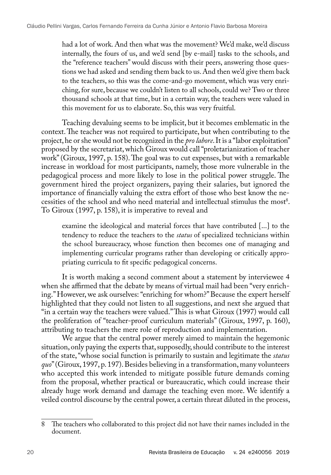had a lot of work. And then what was the movement? We'd make, we'd discuss internally, the fours of us, and we'd send [by e-mail] tasks to the schools, and the "reference teachers" would discuss with their peers, answering those questions we had asked and sending them back to us. And then we'd give them back to the teachers, so this was the come-and-go movement, which was very enriching, for sure, because we couldn't listen to all schools, could we? Two or three thousand schools at that time, but in a certain way, the teachers were valued in this movement for us to elaborate. So, this was very fruitful.

Teaching devaluing seems to be implicit, but it becomes emblematic in the context. The teacher was not required to participate, but when contributing to the project, he or she would not be recognized in the *pro labore*. It is a "labor exploitation" proposed by the secretariat, which Giroux would call "proletarianization of teacher work" (Giroux, 1997, p. 158). The goal was to cut expenses, but with a remarkable increase in workload for most participants, namely, those more vulnerable in the pedagogical process and more likely to lose in the political power struggle. The government hired the project organizers, paying their salaries, but ignored the importance of financially valuing the extra effort of those who best know the necessities of the school and who need material and intellectual stimulus the most<sup>8</sup>. To Giroux (1997, p. 158), it is imperative to reveal and

examine the ideological and material forces that have contributed [...] to the tendency to reduce the teachers to the *status* of specialized technicians within the school bureaucracy, whose function then becomes one of managing and implementing curricular programs rather than developing or critically appropriating curricula to fit specific pedagogical concerns.

It is worth making a second comment about a statement by interviewee 4 when she affirmed that the debate by means of virtual mail had been "very enriching." However, we ask ourselves: "enriching for whom?" Because the expert herself highlighted that they could not listen to all suggestions, and next she argued that "in a certain way the teachers were valued." This is what Giroux (1997) would call the proliferation of "teacher-proof curriculum materials" (Giroux, 1997, p. 160), attributing to teachers the mere role of reproduction and implementation.

We argue that the central power merely aimed to maintain the hegemonic situation, only paying the experts that, supposedly, should contribute to the interest of the state, "whose social function is primarily to sustain and legitimate the *status quo*" (Giroux, 1997, p. 197). Besides believing in a transformation, many volunteers who accepted this work intended to mitigate possible future demands coming from the proposal, whether practical or bureaucratic, which could increase their already huge work demand and damage the teaching even more. We identify a veiled control discourse by the central power, a certain threat diluted in the process,

<sup>8</sup> The teachers who collaborated to this project did not have their names included in the document.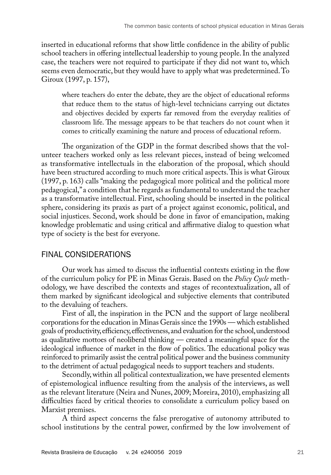inserted in educational reforms that show little confidence in the ability of public school teachers in offering intellectual leadership to young people. In the analyzed case, the teachers were not required to participate if they did not want to, which seems even democratic, but they would have to apply what was predetermined. To Giroux (1997, p. 157),

where teachers do enter the debate, they are the object of educational reforms that reduce them to the status of high-level technicians carrying out dictates and objectives decided by experts far removed from the everyday realities of classroom life. The message appears to be that teachers do not count when it comes to critically examining the nature and process of educational reform.

The organization of the GDP in the format described shows that the volunteer teachers worked only as less relevant pieces, instead of being welcomed as transformative intellectuals in the elaboration of the proposal, which should have been structured according to much more critical aspects. This is what Giroux (1997, p. 163) calls "making the pedagogical more political and the political more pedagogical," a condition that he regards as fundamental to understand the teacher as a transformative intellectual. First, schooling should be inserted in the political sphere, considering its praxis as part of a project against economic, political, and social injustices. Second, work should be done in favor of emancipation, making knowledge problematic and using critical and affirmative dialog to question what type of society is the best for everyone.

### FINAL CONSIDERATIONS

Our work has aimed to discuss the influential contexts existing in the flow of the curriculum policy for PE in Minas Gerais. Based on the *Policy Cycle* methodology, we have described the contexts and stages of recontextualization, all of them marked by significant ideological and subjective elements that contributed to the devaluing of teachers.

First of all, the inspiration in the PCN and the support of large neoliberal corporations for the education in Minas Gerais since the 1990s — which established goals of productivity, efficiency, effectiveness, and evaluation for the school, understood as qualitative mottoes of neoliberal thinking — created a meaningful space for the ideological influence of market in the flow of politics. The educational policy was reinforced to primarily assist the central political power and the business community to the detriment of actual pedagogical needs to support teachers and students.

Secondly, within all political contextualization, we have presented elements of epistemological influence resulting from the analysis of the interviews, as well as the relevant literature (Neira and Nunes, 2009; Moreira, 2010), emphasizing all difficulties faced by critical theories to consolidate a curriculum policy based on Marxist premises.

A third aspect concerns the false prerogative of autonomy attributed to school institutions by the central power, confirmed by the low involvement of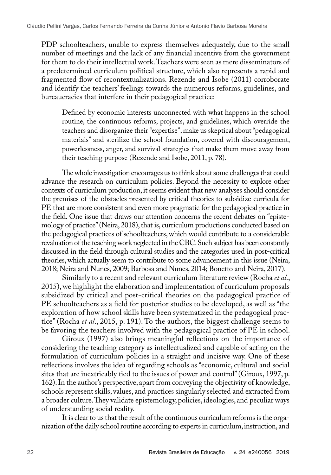PDP schoolteachers, unable to express themselves adequately, due to the small number of meetings and the lack of any financial incentive from the government for them to do their intellectual work. Teachers were seen as mere disseminators of a predetermined curriculum political structure, which also represents a rapid and fragmented flow of recontextualizations. Rezende and Isobe (2011) corroborate and identify the teachers' feelings towards the numerous reforms, guidelines, and bureaucracies that interfere in their pedagogical practice:

Defined by economic interests unconnected with what happens in the school routine, the continuous reforms, projects, and guidelines, which override the teachers and disorganize their "expertise", make us skeptical about "pedagogical materials" and sterilize the school foundation, covered with discouragement, powerlessness, anger, and survival strategies that make them move away from their teaching purpose (Rezende and Isobe, 2011, p. 78).

The whole investigation encourages us to think about some challenges that could advance the research on curriculum policies. Beyond the necessity to explore other contexts of curriculum production, it seems evident that new analyses should consider the premises of the obstacles presented by critical theories to subsidize curricula for PE that are more consistent and even more pragmatic for the pedagogical practice in the field. One issue that draws our attention concerns the recent debates on "epistemology of practice" (Neira, 2018), that is, curriculum productions conducted based on the pedagogical practices of schoolteachers, which would contribute to a considerable revaluation of the teaching work neglected in the CBC. Such subject has been constantly discussed in the field through cultural studies and the categories used in post-critical theories, which actually seem to contribute to some advancement in this issue (Neira, 2018; Neira and Nunes, 2009; Barbosa and Nunes, 2014; Bonetto and Neira, 2017).

Similarly to a recent and relevant curriculum literature review (Rocha *et al*., 2015), we highlight the elaboration and implementation of curriculum proposals subsidized by critical and post-critical theories on the pedagogical practice of PE schoolteachers as a field for posterior studies to be developed, as well as "the exploration of how school skills have been systematized in the pedagogical practice" (Rocha *et al*., 2015, p. 191). To the authors, the biggest challenge seems to be favoring the teachers involved with the pedagogical practice of PE in school.

Giroux (1997) also brings meaningful reflections on the importance of considering the teaching category as intellectualized and capable of acting on the formulation of curriculum policies in a straight and incisive way. One of these reflections involves the idea of regarding schools as "economic, cultural and social sites that are inextricably tied to the issues of power and control" (Giroux, 1997, p. 162). In the author's perspective, apart from conveying the objectivity of knowledge, schools represent skills, values, and practices singularly selected and extracted from a broader culture. They validate epistemology, policies, ideologies, and peculiar ways of understanding social reality.

It is clear to us that the result of the continuous curriculum reforms is the organization of the daily school routine according to experts in curriculum, instruction, and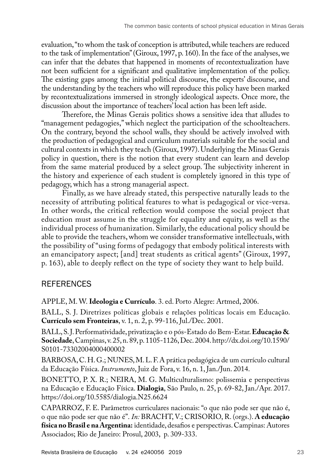evaluation, "to whom the task of conception is attributed, while teachers are reduced to the task of implementation" (Giroux, 1997, p. 160). In the face of the analyses, we can infer that the debates that happened in moments of recontextualization have not been sufficient for a significant and qualitative implementation of the policy. The existing gaps among the initial political discourse, the experts' discourse, and the understanding by the teachers who will reproduce this policy have been marked by recontextualizations immersed in strongly ideological aspects. Once more, the discussion about the importance of teachers' local action has been left aside.

Therefore, the Minas Gerais politics shows a sensitive idea that alludes to "management pedagogies," which neglect the participation of the schoolteachers. On the contrary, beyond the school walls, they should be actively involved with the production of pedagogical and curriculum materials suitable for the social and cultural contexts in which they teach (Giroux, 1997). Underlying the Minas Gerais policy in question, there is the notion that every student can learn and develop from the same material produced by a select group. The subjectivity inherent in the history and experience of each student is completely ignored in this type of pedagogy, which has a strong managerial aspect.

Finally, as we have already stated, this perspective naturally leads to the necessity of attributing political features to what is pedagogical or vice-versa. In other words, the critical reflection would compose the social project that education must assume in the struggle for equality and equity, as well as the individual process of humanization. Similarly, the educational policy should be able to provide the teachers, whom we consider transformative intellectuals, with the possibility of "using forms of pedagogy that embody political interests with an emancipatory aspect; [and] treat students as critical agents" (Giroux, 1997, p. 163), able to deeply reflect on the type of society they want to help build.

## **REFERENCES**

APPLE, M. W. **Ideologia e Currículo**. 3. ed. Porto Alegre: Artmed, 2006.

BALL, S. J. Diretrizes políticas globais e relações políticas locais em Educação. **Currículo sem Fronteiras**, v. 1, n. 2, p. 99-116, Jul./Dec. 2001.

BALL, S. J. Performatividade, privatização e o pós-Estado do Bem-Estar. **Educação & Sociedade**, Campinas, v. 25, n. 89, p. 1105-1126, Dec. 2004. [http://dx.doi.org/10.1590/](http://dx.doi.org/10.1590/S0101-73302004000400002) [S0101-73302004000400002](http://dx.doi.org/10.1590/S0101-73302004000400002)

BARBOSA, C. H. G.; NUNES, M. L. F. A prática pedagógica de um currículo cultural da Educação Física. *Instrumento*, Juiz de Fora, v. 16, n. 1, Jan./Jun. 2014.

BONETTO, P. X. R.; NEIRA, M. G. Multiculturalismo: polissemia e perspectivas na Educação e Educação Física. **Dialogia**, São Paulo, n. 25, p. 69-82, Jan./Apr. 2017. <https://doi.org/10.5585/dialogia.N25.6624>

CAPARROZ, F. E. Parâmetros curriculares nacionais: "o que não pode ser que não é, o que não pode ser que não é". *In:* BRACHT, V.; CRISORIO, R. (orgs.). **A educação física no Brasil e na Argentina:** identidade, desafios e perspectivas. Campinas: Autores Associados; Rio de Janeiro: Prosul, 2003, p. 309-333.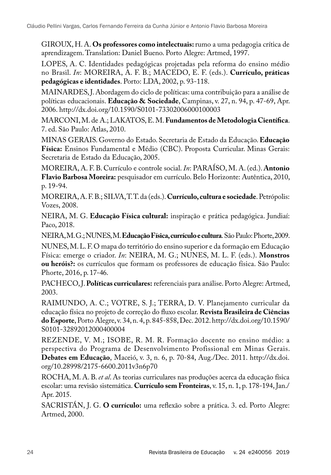GIROUX, H. A. **Os professores como intelectuais:** rumo a uma pedagogia crítica de aprendizagem. Translation: Daniel Bueno. Porto Alegre: Artmed, 1997.

LOPES, A. C. Identidades pedagógicas projetadas pela reforma do ensino médio no Brasil. *In*: MOREIRA, A. F. B.; MACEDO, E. F. (eds.). **Currículo, práticas pedagógicas e identidades**. Porto: LDA, 2002, p. 93-118.

MAINARDES, J. Abordagem do ciclo de políticas: uma contribuição para a análise de políticas educacionais. **Educação & Sociedade**, Campinas, v. 27, n. 94, p. 47-69, Apr. 2006.<http://dx.doi.org/10.1590/S0101-73302006000100003>

MARCONI, M. de A.; LAKATOS, E. M. **Fundamentos de Metodologia Científica**. 7. ed. São Paulo: Atlas, 2010.

MINAS GERAIS. Governo do Estado. Secretaria de Estado da Educação. **Educação Física:** Ensinos Fundamental e Médio (CBC). Proposta Curricular. Minas Gerais: Secretaria de Estado da Educação, 2005.

MOREIRA, A. F. B. Currículo e controle social. *In*: PARAÍSO, M. A. (ed.). **Antonio Flavio Barbosa Moreira:** pesquisador em currículo. Belo Horizonte: Autêntica, 2010, p. 19-94.

MOREIRA, A. F. B.; SILVA, T. T. da (eds.). **Currículo, cultura e sociedade**. Petrópolis: Vozes, 2008.

NEIRA, M. G. **Educação Física cultural:** inspiração e prática pedagógica. Jundiaí: Paco, 2018.

NEIRA, M. G.; NUNES, M. **Educação Física, currículo e cultura**.São Paulo: Phorte, 2009.

NUNES, M. L. F. O mapa do território do ensino superior e da formação em Educação Física: emerge o criador. *In*: NEIRA, M. G.; NUNES, M. L. F. (eds.). **Monstros ou heróis?:** os currículos que formam os professores de educação física. São Paulo: Phorte, 2016, p. 17-46.

PACHECO, J. **Políticas curriculares:** referenciais para análise. Porto Alegre: Artmed, 2003.

RAIMUNDO, A. C.; VOTRE, S. J.; TERRA, D. V. Planejamento curricular da educação física no projeto de correção do fluxo escolar. **Revista Brasileira de Ciências do Esporte**, Porto Alegre, v. 34, n. 4, p. 845-858, Dec. 2012. [http://dx.doi.org/10.1590/](http://dx.doi.org/10.1590/S0101-32892012000400004) [S0101-32892012000400004](http://dx.doi.org/10.1590/S0101-32892012000400004)

REZENDE, V. M.; ISOBE, R. M. R. Formação docente no ensino médio: a perspectiva do Programa de Desenvolvimento Profissional em Minas Gerais. **Debates em Educação**, Maceió, v. 3, n. 6, p. 70-84, Aug./Dec. 2011. [http://dx.doi.](http://dx.doi.org/10.28998/2175-6600.2011v3n6p70) [org/10.28998/2175-6600.2011v3n6p70](http://dx.doi.org/10.28998/2175-6600.2011v3n6p70)

ROCHA, M. A. B. *et al*. As teorias curriculares nas produções acerca da educação física escolar: uma revisão sistemática. **Currículo sem Fronteiras**, v. 15, n. 1, p. 178-194, Jan./ Apr. 2015.

SACRISTÁN, J. G. **O currículo:** uma reflexão sobre a prática. 3. ed. Porto Alegre: Artmed, 2000.